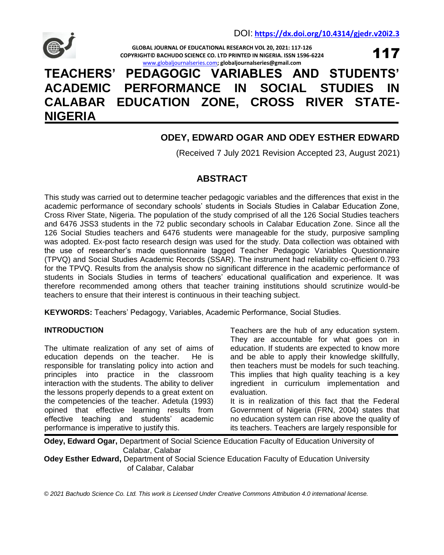

117

**GLOBAL JOURNAL OF EDUCATIONAL RESEARCH VOL 20, 2021: 117-126 COPYRIGHT© BACHUDO SCIENCE CO. LTD PRINTED IN NIGERIA. ISSN 1596-6224** [www.globaljournalseries.com](http://www.globaljournalseries.com/)**; globaljournalseries@gmail.com**

# **TEACHERS' PEDAGOGIC VARIABLES AND STUDENTS' ACADEMIC PERFORMANCE IN SOCIAL STUDIES IN CALABAR EDUCATION ZONE, CROSS RIVER STATE-NIGERIA**

# **ODEY, EDWARD OGAR AND ODEY ESTHER EDWARD**

(Received 7 July 2021 Revision Accepted 23, August 2021)

# **ABSTRACT**

This study was carried out to determine teacher pedagogic variables and the differences that exist in the academic performance of secondary schools' students in Socials Studies in Calabar Education Zone, Cross River State, Nigeria. The population of the study comprised of all the 126 Social Studies teachers and 6476 JSS3 students in the 72 public secondary schools in Calabar Education Zone. Since all the 126 Social Studies teachers and 6476 students were manageable for the study, purposive sampling was adopted. Ex-post facto research design was used for the study. Data collection was obtained with the use of researcher's made questionnaire tagged Teacher Pedagogic Variables Questionnaire (TPVQ) and Social Studies Academic Records (SSAR). The instrument had reliability co-efficient 0.793 for the TPVQ. Results from the analysis show no significant difference in the academic performance of students in Socials Studies in terms of teachers' educational qualification and experience. It was therefore recommended among others that teacher training institutions should scrutinize would-be teachers to ensure that their interest is continuous in their teaching subject.

**KEYWORDS:** Teachers' Pedagogy, Variables, Academic Performance, Social Studies.

# **INTRODUCTION**

The ultimate realization of any set of aims of education depends on the teacher. He is responsible for translating policy into action and principles into practice in the classroom interaction with the students. The ability to deliver the lessons properly depends to a great extent on the competencies of the teacher. Adetula (1993) opined that effective learning results from effective teaching and students' academic performance is imperative to justify this.

Teachers are the hub of any education system. They are accountable for what goes on in education. If students are expected to know more and be able to apply their knowledge skillfully, then teachers must be models for such teaching. This implies that high quality teaching is a key ingredient in curriculum implementation and evaluation.

It is in realization of this fact that the Federal Government of Nigeria (FRN, 2004) states that no education system can rise above the quality of its teachers. Teachers are largely responsible for

**Odey, Edward Ogar,** Department of Social Science Education Faculty of Education University of Calabar, Calabar

**Odey Esther Edward,** Department of Social Science Education Faculty of Education University of Calabar, Calabar

*© 2021 Bachudo Science Co. Ltd. This work is Licensed Under Creative Commons Attribution 4.0 international license.*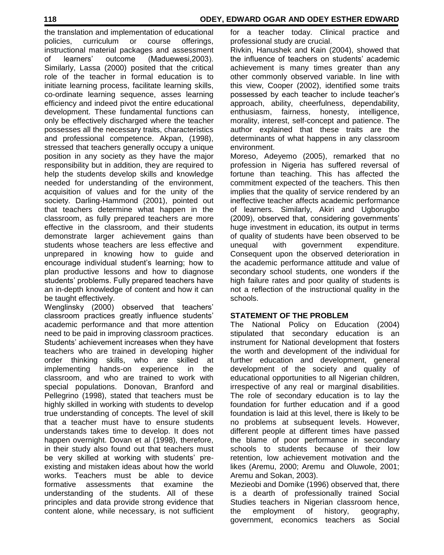the translation and implementation of educational policies, curriculum or course offerings, instructional material packages and assessment of learners' outcome (Maduewesi,2003). Similarly, Lassa (2000) posited that the critical role of the teacher in formal education is to initiate learning process, facilitate learning skills, co-ordinate learning sequence, asses learning efficiency and indeed pivot the entire educational development. These fundamental functions can only be effectively discharged where the teacher possesses all the necessary traits, characteristics and professional competence. Akpan, (1998), stressed that teachers generally occupy a unique position in any society as they have the major responsibility but in addition, they are required to help the students develop skills and knowledge needed for understanding of the environment, acquisition of values and for the unity of the society. Darling-Hammond (2001), pointed out that teachers determine what happen in the classroom, as fully prepared teachers are more effective in the classroom, and their students demonstrate larger achievement gains than students whose teachers are less effective and unprepared in knowing how to guide and encourage individual student's learning; how to plan productive lessons and how to diagnose students' problems. Fully prepared teachers have an in-depth knowledge of content and how it can be taught effectively.

Wenglinsky (2000) observed that teachers' classroom practices greatly influence students' academic performance and that more attention need to be paid in improving classroom practices. Students' achievement increases when they have teachers who are trained in developing higher order thinking skills, who are skilled at implementing hands-on experience in the classroom, and who are trained to work with special populations. Donovan, Branford and Pellegrino (1998), stated that teachers must be highly skilled in working with students to develop true understanding of concepts. The level of skill that a teacher must have to ensure students understands takes time to develop. It does not happen overnight. Dovan et al (1998), therefore, in their study also found out that teachers must be very skilled at working with students' preexisting and mistaken ideas about how the world works. Teachers must be able to device formative assessments that examine the understanding of the students. All of these principles and data provide strong evidence that content alone, while necessary, is not sufficient for a teacher today. Clinical practice and professional study are crucial.

Rivkin, Hanushek and Kain (2004), showed that the influence of teachers on students' academic achievement is many times greater than any other commonly observed variable. In line with this view, Cooper (2002), identified some traits possessed by each teacher to include teacher's approach, ability, cheerfulness, dependability, enthusiasm, fairness, honesty, intelligence, morality, interest, self-concept and patience. The author explained that these traits are the determinants of what happens in any classroom environment.

Moreso, Adeyemo (2005), remarked that no profession in Nigeria has suffered reversal of fortune than teaching. This has affected the commitment expected of the teachers. This then implies that the quality of service rendered by an ineffective teacher affects academic performance of learners. Similarly, Akiri and Ugborugbo (2009), observed that, considering governments' huge investment in education, its output in terms of quality of students have been observed to be unequal with government expenditure. Consequent upon the observed deterioration in the academic performance attitude and value of secondary school students, one wonders if the high failure rates and poor quality of students is not a reflection of the instructional quality in the schools.

# **STATEMENT OF THE PROBLEM**

The National Policy on Education (2004) stipulated that secondary education is an instrument for National development that fosters the worth and development of the individual for further education and development, general development of the society and quality of educational opportunities to all Nigerian children, irrespective of any real or marginal disabilities. The role of secondary education is to lay the foundation for further education and if a good foundation is laid at this level, there is likely to be no problems at subsequent levels. However, different people at different times have passed the blame of poor performance in secondary schools to students because of their low retention, low achievement motivation and the likes (Aremu, 2000; Aremu and Oluwole, 2001; Aremu and Sokan, 2003).

Mezieobi and Domike (1996) observed that, there is a dearth of professionally trained Social Studies teachers in Nigerian classroom hence, the employment of history, geography, government, economics teachers as Social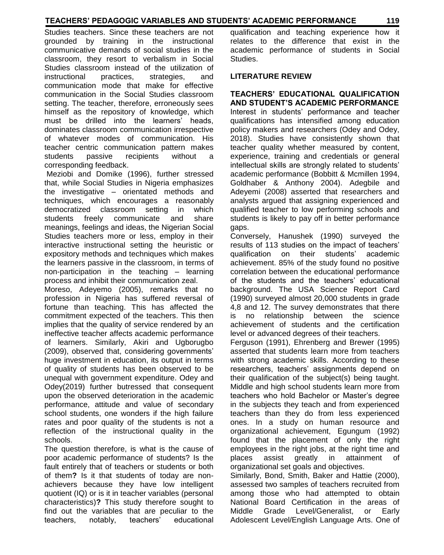Studies teachers. Since these teachers are not grounded by training in the instructional communicative demands of social studies in the classroom, they resort to verbalism in Social Studies classroom instead of the utilization of instructional practices, strategies, and communication mode that make for effective communication in the Social Studies classroom setting. The teacher, therefore, erroneously sees himself as the repository of knowledge, which must be drilled into the learners' heads, dominates classroom communication irrespective of whatever modes of communication. His teacher centric communication pattern makes students passive recipients without a corresponding feedback.

Meziobi and Domike (1996), further stressed that, while Social Studies in Nigeria emphasizes the investigative – orientated methods and techniques, which encourages a reasonably democratized classroom setting in which students freely communicate and share meanings, feelings and ideas, the Nigerian Social Studies teachers more or less, employ in their interactive instructional setting the heuristic or expository methods and techniques which makes the learners passive in the classroom, in terms of non-participation in the teaching – learning process and inhibit their communication zeal.

Moreso, Adeyemo (2005), remarks that no profession in Nigeria has suffered reversal of fortune than teaching. This has affected the commitment expected of the teachers. This then implies that the quality of service rendered by an ineffective teacher affects academic performance of learners. Similarly, Akiri and Ugborugbo (2009), observed that, considering governments' huge investment in education, its output in terms of quality of students has been observed to be unequal with government expenditure. Odey and Odey(2019) further butressed that consequent upon the observed deterioration in the academic performance, attitude and value of secondary school students, one wonders if the high failure rates and poor quality of the students is not a reflection of the instructional quality in the schools.

The question therefore, is what is the cause of poor academic performance of students? Is the fault entirely that of teachers or students or both of them**?** Is it that students of today are nonachievers because they have low intelligent quotient (IQ) or is it in teacher variables (personal characteristics)**?** This study therefore sought to find out the variables that are peculiar to the teachers, notably, teachers' educational

qualification and teaching experience how it relates to the difference that exist in the academic performance of students in Social Studies.

### **LITERATURE REVIEW**

**TEACHERS' EDUCATIONAL QUALIFICATION AND STUDENT'S ACADEMIC PERFORMANCE** Interest in students' performance and teacher qualifications has intensified among education policy makers and researchers (Odey and Odey, 2018). Studies have consistently shown that teacher quality whether measured by content, experience, training and credentials or general intellectual skills are strongly related to students' academic performance (Bobbitt & Mcmillen 1994, Goldhaber & Anthony 2004). Adegbile and Adeyemi (2008) asserted that researchers and analysts argued that assigning experienced and qualified teacher to low performing schools and students is likely to pay off in better performance gaps.

Conversely, Hanushek (1990) surveyed the results of 113 studies on the impact of teachers' qualification on their students' academic achievement. 85% of the study found no positive correlation between the educational performance of the students and the teachers' educational background. The USA Science Report Card (1990) surveyed almost 20,000 students in grade 4,8 and 12. The survey demonstrates that there is no relationship between the science achievement of students and the certification level or advanced degrees of their teachers.

Ferguson (1991), Ehrenberg and Brewer (1995) asserted that students learn more from teachers with strong academic skills. According to these researchers, teachers' assignments depend on their qualification of the subject(s) being taught. Middle and high school students learn more from teachers who hold Bachelor or Master's degree in the subjects they teach and from experienced teachers than they do from less experienced ones. In a study on human resource and organizational achievement, Egungum (1992) found that the placement of only the right employees in the right jobs, at the right time and places assist greatly in attainment of organizational set goals and objectives.

Similarly, Bond, Smith, Baker and Hattie (2000), assessed two samples of teachers recruited from among those who had attempted to obtain National Board Certification in the areas of Middle Grade Level/Generalist, or Early Adolescent Level/English Language Arts. One of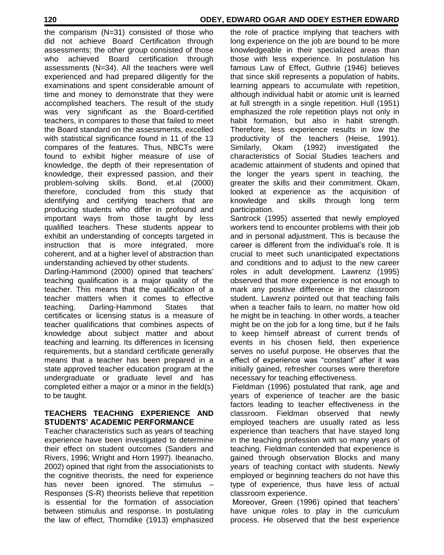#### **120 ODEY, EDWARD OGAR AND ODEY ESTHER EDWARD**

the comparism (N=31) consisted of those who did not achieve Board Certification through assessments; the other group consisted of those who achieved Board certification through assessments (N=34). All the teachers were well experienced and had prepared diligently for the examinations and spent considerable amount of time and money to demonstrate that they were accomplished teachers. The result of the study was very significant as the Board-certified teachers, in compares to those that failed to meet the Board standard on the assessments, excelled with statistical significance found in 11 of the 13 compares of the features. Thus, NBCTs were found to exhibit higher measure of use of knowledge, the depth of their representation of knowledge, their expressed passion, and their problem-solving skills. Bond, et.al (2000) therefore, concluded from this study that identifying and certifying teachers that are producing students who differ in profound and important ways from those taught by less qualified teachers. These students appear to exhibit an understanding of concepts targeted in instruction that is more integrated, more coherent, and at a higher level of abstraction than understanding achieved by other students.

Darling-Hammond (2000) opined that teachers' teaching qualification is a major quality of the teacher. This means that the qualification of a teacher matters when it comes to effective teaching. Darling-Hammond States that certificates or licensing status is a measure of teacher qualifications that combines aspects of knowledge about subject matter and about teaching and learning. Its differences in licensing requirements, but a standard certificate generally means that a teacher has been prepared in a state approved teacher education program at the undergraduate or graduate level and has completed either a major or a minor in the field(s) to be taught.

## **TEACHERS TEACHING EXPERIENCE AND STUDENTS' ACADEMIC PERFORMANCE**

Teacher characteristics such as years of teaching experience have been investigated to determine their effect on student outcomes (Sanders and Rivers, 1996; Wright and Horn 1997). Iheanacho, 2002) opined that right from the associationists to the cognitive theorists, the need for experience has never been ignored. The stimulus – Responses (S-R) theorists believe that repetition is essential for the formation of association between stimulus and response. In postulating the law of effect, Thorndike (1913) emphasized

the role of practice implying that teachers with long experience on the job are bound to be more knowledgeable in their specialized areas than those with less experience. In postulation his famous Law of Effect, Guthrie (1946) believes that since skill represents a population of habits, learning appears to accumulate with repetition, although individual habit or atomic unit is learned at full strength in a single repetition. Hull (1951) emphasized the role repetition plays not only in habit formation, but also in habit strength. Therefore, less experience results in low the productivity of the teachers (Heise, 1991). Similarly, Okam (1992) investigated the characteristics of Social Studies teachers and academic attainment of students and opined that the longer the years spent in teaching, the greater the skills and their commitment. Okam, looked at experience as the acquisition of knowledge and skills through long term participation.

Santrock (1995) asserted that newly employed workers tend to encounter problems with their job and in personal adjustment. This is because the career is different from the individual's role. It is crucial to meet such unanticipated expectations and conditions and to adjust to the new career roles in adult development. Lawrenz (1995) observed that more experience is not enough to mark any positive difference in the classroom student. Lawrenz pointed out that teaching fails when a teacher fails to learn, no matter how old he might be in teaching. In other words, a teacher might be on the job for a long time, but if he fails to keep himself abreast of current trends of events in his chosen field, then experience serves no useful purpose. He observes that the effect of experience was "constant" after it was initially gained, refresher courses were therefore necessary for teaching effectiveness.

Fieldman (1996) postulated that rank, age and years of experience of teacher are the basic factors leading to teacher effectiveness in the classroom. Fieldman observed that newly employed teachers are usually rated as less experience than teachers that have stayed long in the teaching profession with so many years of teaching. Fieldman contended that experience is gained through observation Blocks and many years of teaching contact with students. Newly employed or beginning teachers do not have this type of experience, thus have less of actual classroom experience.

Moreover, Green (1996) opined that teachers' have unique roles to play in the curriculum process. He observed that the best experience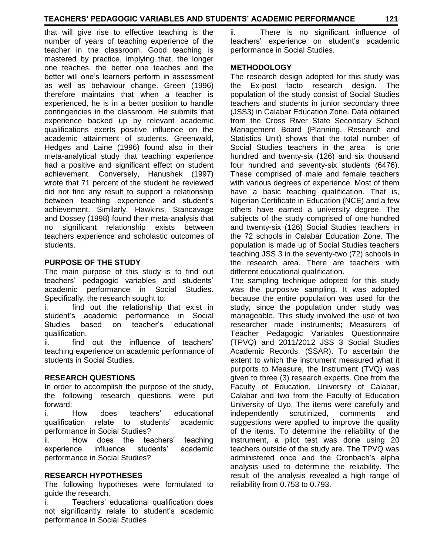that will give rise to effective teaching is the number of years of teaching experience of the teacher in the classroom. Good teaching is mastered by practice, implying that, the longer one teaches, the better one teaches and the better will one's learners perform in assessment as well as behaviour change. Green (1996) therefore maintains that when a teacher is experienced, he is in a better position to handle contingencies in the classroom. He submits that experience backed up by relevant academic qualifications exerts positive influence on the academic attainment of students. Greenwald, Hedges and Laine (1996) found also in their meta-analytical study that teaching experience had a positive and significant effect on student achievement. Conversely, Hanushek (1997) wrote that 71 percent of the student he reviewed did not find any result to support a relationship between teaching experience and student's achievement. Similarly, Hawkins, Stancavage and Dossey (1998) found their meta-analysis that no significant relationship exists between teachers experience and scholastic outcomes of students.

### **PURPOSE OF THE STUDY**

The main purpose of this study is to find out teachers' pedagogic variables and students' academic performance in Social Studies. Specifically, the research sought to:

i. find out the relationship that exist in student's academic performance in Social Studies based on teacher's educational qualification.

ii. find out the influence of teachers' teaching experience on academic performance of students in Social Studies.

#### **RESEARCH QUESTIONS**

In order to accomplish the purpose of the study, the following research questions were put forward:

i. How does teachers' educational qualification relate to students' academic performance in Social Studies?

ii. How does the teachers' teaching experience influence students' academic performance in Social Studies?

### **RESEARCH HYPOTHESES**

The following hypotheses were formulated to guide the research.

i. Teachers' educational qualification does not significantly relate to student's academic performance in Social Studies

ii. There is no significant influence of teachers' experience on student's academic performance in Social Studies.

#### **METHODOLOGY**

The research design adopted for this study was the Ex-post facto research design. The population of the study consist of Social Studies teachers and students in junior secondary three (JSS3) in Calabar Education Zone. Data obtained from the Cross River State Secondary School Management Board (Planning, Research and Statistics Unit) shows that the total number of Social Studies teachers in the area is one hundred and twenty-six (126) and six thousand four hundred and seventy-six students (6476). These comprised of male and female teachers with various degrees of experience. Most of them have a basic teaching qualification. That is, Nigerian Certificate in Education (NCE) and a few others have earned a university degree. The subjects of the study comprised of one hundred and twenty-six (126) Social Studies teachers in the 72 schools in Calabar Education Zone. The population is made up of Social Studies teachers teaching JSS 3 in the seventy-two (72) schools in the research area. There are teachers with different educational qualification.

The sampling technique adopted for this study was the purposive sampling. It was adopted because the entire population was used for the study, since the population under study was manageable. This study involved the use of two researcher made instruments; Measurers of Teacher Pedagogic Variables Questionnaire (TPVQ) and 2011/2012 JSS 3 Social Studies Academic Records. (SSAR). To ascertain the extent to which the instrument measured what it purports to Measure, the Instrument (TVQ) was given to three (3) research experts. One from the Faculty of Education, University of Calabar, Calabar and two from the Faculty of Education University of Uyo. The items were carefully and independently scrutinized, comments and suggestions were applied to improve the quality of the items. To determine the reliability of the instrument, a pilot test was done using 20 teachers outside of the study are. The TPVQ was administered once and the Cronbach's alpha analysis used to determine the reliability. The result of the analysis revealed a high range of reliability from 0.753 to 0.793.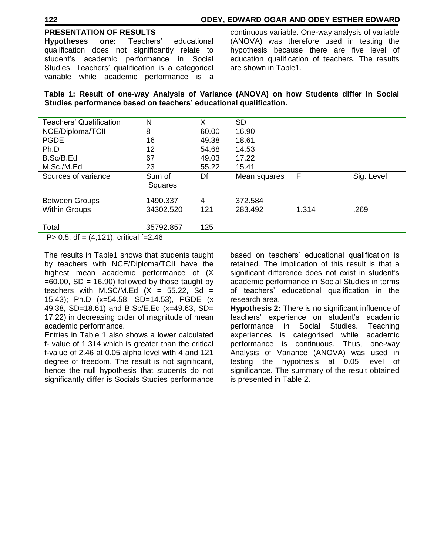#### **122 ODEY, EDWARD OGAR AND ODEY ESTHER EDWARD**

#### **PRESENTATION OF RESULTS**

**Hypotheses one:** Teachers' educational qualification does not significantly relate to student's academic performance in Social Studies. Teachers' qualification is a categorical variable while academic performance is a

continuous variable. One-way analysis of variable (ANOVA) was therefore used in testing the hypothesis because there are five level of education qualification of teachers. The results are shown in Table1.

|                                                                   |  |  |  |  |  |  |  |  |  | Table 1: Result of one-way Analysis of Variance (ANOVA) on how Students differ in Social |  |  |  |
|-------------------------------------------------------------------|--|--|--|--|--|--|--|--|--|------------------------------------------------------------------------------------------|--|--|--|
| Studies performance based on teachers' educational qualification. |  |  |  |  |  |  |  |  |  |                                                                                          |  |  |  |

| <b>Teachers' Qualification</b>                   | N                 | X     | <b>SD</b>    |       |            |  |
|--------------------------------------------------|-------------------|-------|--------------|-------|------------|--|
| NCE/Diploma/TCII                                 | 8                 | 60.00 | 16.90        |       |            |  |
| <b>PGDE</b>                                      | 16                | 49.38 | 18.61        |       |            |  |
| Ph.D                                             | 12                | 54.68 | 14.53        |       |            |  |
| B.Sc/B.Ed                                        | 67                | 49.03 | 17.22        |       |            |  |
| M.Sc./M.Ed                                       | 23                | 55.22 | 15.41        |       |            |  |
| Sources of variance                              | Sum of<br>Squares | Df    | Mean squares | F     | Sig. Level |  |
| <b>Between Groups</b>                            | 1490.337          | 4     | 372.584      |       |            |  |
| <b>Within Groups</b>                             | 34302.520         | 121   | 283.492      | 1.314 | .269       |  |
| Total                                            | 35792.857         | 125   |              |       |            |  |
| $P \setminus 0.5$ df $- (4.121)$ critical f-2.46 |                   |       |              |       |            |  |

P >  $0.5$ , df =  $(4,121)$ , critical t=2.46

The results in Table1 shows that students taught by teachers with NCE/Diploma/TCII have the highest mean academic performance of (X  $=60.00$ , SD = 16.90) followed by those taught by teachers with M.SC/M.Ed  $(X = 55.22, Sd =$ 15.43); Ph.D (x=54.58, SD=14.53), PGDE (x 49.38, SD=18.61) and B.Sc/E.Ed (x=49.63, SD= 17.22) in decreasing order of magnitude of mean academic performance.

Entries in Table 1 also shows a lower calculated f- value of 1.314 which is greater than the critical f-value of 2.46 at 0.05 alpha level with 4 and 121 degree of freedom. The result is not significant, hence the null hypothesis that students do not significantly differ is Socials Studies performance

based on teachers' educational qualification is retained. The implication of this result is that a significant difference does not exist in student's academic performance in Social Studies in terms of teachers' educational qualification in the research area.

**Hypothesis 2:** There is no significant influence of teachers' experience on student's academic performance in Social Studies. Teaching experiences is categorised while academic performance is continuous. Thus, one-way Analysis of Variance (ANOVA) was used in testing the hypothesis at 0.05 level of significance. The summary of the result obtained is presented in Table 2.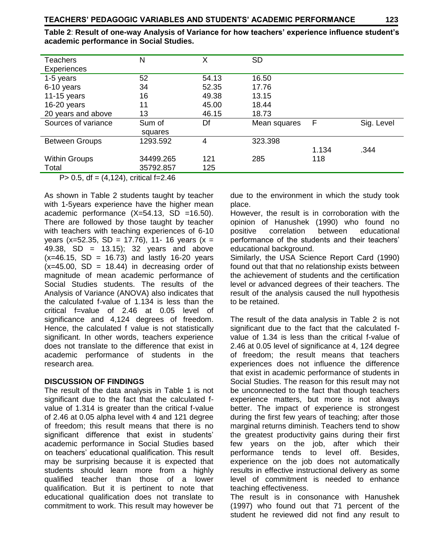|                                         | Table 2: Result of one-way Analysis of Variance for how teachers' experience influence student's |
|-----------------------------------------|--------------------------------------------------------------------------------------------------|
| academic performance in Social Studies. |                                                                                                  |

| Teachers              | N         | X     | <b>SD</b>    |       |            |
|-----------------------|-----------|-------|--------------|-------|------------|
|                       |           |       |              |       |            |
| Experiences           |           |       |              |       |            |
| 1-5 years             | 52        | 54.13 | 16.50        |       |            |
| 6-10 years            | 34        | 52.35 | 17.76        |       |            |
| 11-15 years           | 16        | 49.38 | 13.15        |       |            |
| 16-20 years           | 11        | 45.00 | 18.44        |       |            |
| 20 years and above    | 13        | 46.15 | 18.73        |       |            |
| Sources of variance   | Sum of    | Df    | Mean squares | F     | Sig. Level |
|                       | squares   |       |              |       |            |
| <b>Between Groups</b> | 1293.592  | 4     | 323.398      |       |            |
|                       |           |       |              | 1.134 | .344       |
| <b>Within Groups</b>  | 34499.265 | 121   | 285          | 118   |            |
| Total                 | 35792.857 | 125   |              |       |            |

P > 0.5, df =  $(4, 124)$ , critical f=2.46

As shown in Table 2 students taught by teacher with 1-5years experience have the higher mean academic performance (X=54.13, SD =16.50). There are followed by those taught by teacher with teachers with teaching experiences of 6-10 years (x=52.35, SD = 17.76), 11- 16 years (x = 49.38, SD = 13.15); 32 years and above  $(x=46.15, SD = 16.73)$  and lastly 16-20 years  $(x=45.00, SD = 18.44)$  in decreasing order of magnitude of mean academic performance of Social Studies students. The results of the Analysis of Variance (ANOVA) also indicates that the calculated f-value of 1.134 is less than the critical f=value of 2.46 at 0.05 level of significance and 4,124 degrees of freedom. Hence, the calculated f value is not statistically significant. In other words, teachers experience does not translate to the difference that exist in academic performance of students in the research area.

#### **DISCUSSION OF FINDINGS**

The result of the data analysis in Table 1 is not significant due to the fact that the calculated fvalue of 1.314 is greater than the critical f-value of 2.46 at 0.05 alpha level with 4 and 121 degree of freedom; this result means that there is no significant difference that exist in students' academic performance in Social Studies based on teachers' educational qualification. This result may be surprising because it is expected that students should learn more from a highly qualified teacher than those of a lower qualification. But it is pertinent to note that educational qualification does not translate to commitment to work. This result may however be due to the environment in which the study took place.

However, the result is in corroboration with the opinion of Hanushek (1990) who found no positive correlation between educational performance of the students and their teachers' educational background.

Similarly, the USA Science Report Card (1990) found out that that no relationship exists between the achievement of students and the certification level or advanced degrees of their teachers. The result of the analysis caused the null hypothesis to be retained.

The result of the data analysis in Table 2 is not significant due to the fact that the calculated fvalue of 1.34 is less than the critical f-value of 2.46 at 0.05 level of significance at 4, 124 degree of freedom; the result means that teachers experiences does not influence the difference that exist in academic performance of students in Social Studies. The reason for this result may not be unconnected to the fact that though teachers experience matters, but more is not always better. The impact of experience is strongest during the first few years of teaching; after those marginal returns diminish. Teachers tend to show the greatest productivity gains during their first few years on the job, after which their performance tends to level off. Besides, experience on the job does not automatically results in effective instructional delivery as some level of commitment is needed to enhance teaching effectiveness.

The result is in consonance with Hanushek (1997) who found out that 71 percent of the student he reviewed did not find any result to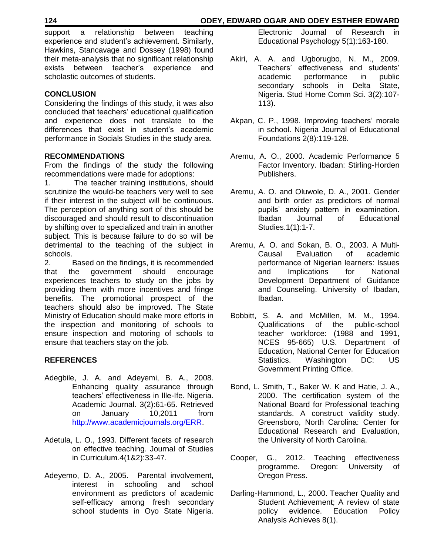support a relationship between teaching experience and student's achievement. Similarly, Hawkins, Stancavage and Dossey (1998) found their meta-analysis that no significant relationship exists between teacher's experience and scholastic outcomes of students.

# **CONCLUSION**

Considering the findings of this study, it was also concluded that teachers' educational qualification and experience does not translate to the differences that exist in student's academic performance in Socials Studies in the study area.

# **RECOMMENDATIONS**

From the findings of the study the following recommendations were made for adoptions:

1. The teacher training institutions, should scrutinize the would-be teachers very well to see if their interest in the subject will be continuous. The perception of anything sort of this should be discouraged and should result to discontinuation by shifting over to specialized and train in another subject. This is because failure to do so will be detrimental to the teaching of the subject in schools.

2. Based on the findings, it is recommended that the government should encourage experiences teachers to study on the jobs by providing them with more incentives and fringe benefits. The promotional prospect of the teachers should also be improved. The State Ministry of Education should make more efforts in the inspection and monitoring of schools to ensure inspection and motoring of schools to ensure that teachers stay on the job.

# **REFERENCES**

- Adegbile, J. A. and Adeyemi, B. A., 2008. Enhancing quality assurance through teachers' effectiveness in Ille-Ife. Nigeria. Academic Journal. 3(2):61-65. Retrieved on January 10,2011 from [http://www.academicjournals.org/ERR.](http://www.academicjournals.org/ERR)
- Adetula, L. O., 1993. Different facets of research on effective teaching. Journal of Studies in Curriculum.4(1&2):33-47.
- Adeyemo, D. A., 2005. Parental involvement, interest in schooling and school environment as predictors of academic self-efficacy among fresh secondary school students in Oyo State Nigeria.

Electronic Journal of Research in Educational Psychology 5(1):163-180.

- Akiri, A. A. and Ugborugbo, N. M., 2009. Teachers' effectiveness and students' academic performance in public secondary schools in Delta State, Nigeria. Stud Home Comm Sci. 3(2):107- 113).
- Akpan, C. P., 1998. Improving teachers' morale in school. Nigeria Journal of Educational Foundations 2(8):119-128.
- Aremu, A. O., 2000. Academic Performance 5 Factor Inventory. Ibadan: Stirling-Horden Publishers.
- Aremu, A. O. and Oluwole, D. A., 2001. Gender and birth order as predictors of normal pupils' anxiety pattern in examination. Ibadan Journal of Educational Studies.1(1):1-7.
- Aremu, A. O. and Sokan, B. O., 2003. A Multi-Causal Evaluation of academic performance of Nigerian learners: Issues and Implications for National Development Department of Guidance and Counseling. University of Ibadan, Ibadan.
- Bobbitt, S. A. and McMillen, M. M., 1994. Qualifications of the public-school teacher workforce: (1988 and 1991, NCES 95-665) U.S. Department of Education, National Center for Education Statistics. Washington DC: US Government Printing Office.
- Bond, L. Smith, T., Baker W. K and Hatie, J. A., 2000. The certification system of the National Board for Professional teaching standards. A construct validity study. Greensboro, North Carolina: Center for Educational Research and Evaluation, the University of North Carolina.
- Cooper, G., 2012. Teaching effectiveness programme. Oregon: University of Oregon Press.
- Darling-Hammond, L., 2000. Teacher Quality and Student Achievement; A review of state policy evidence. Education Policy Analysis Achieves 8(1).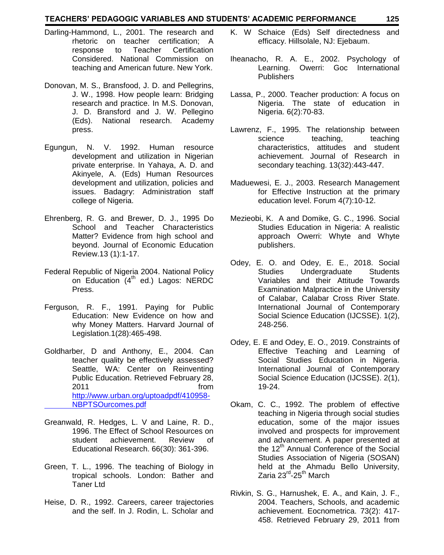#### **TEACHERS' PEDAGOGIC VARIABLES AND STUDENTS' ACADEMIC PERFORMANCE 125**

- Darling-Hammond, L., 2001. The research and rhetoric on teacher certification; A response to Teacher Certification Considered. National Commission on teaching and American future. New York.
- Donovan, M. S., Bransfood, J. D. and Pellegrins, J. W., 1998. How people learn: Bridging research and practice. In M.S. Donovan, J. D. Bransford and J. W. Pellegino (Eds). National research. Academy press.
- Egungun, N. V. 1992. Human resource development and utilization in Nigerian private enterprise. In Yahaya, A. D. and Akinyele, A. (Eds) Human Resources development and utilization, policies and issues. Badagry: Administration staff college of Nigeria.
- Ehrenberg, R. G. and Brewer, D. J., 1995 Do School and Teacher Characteristics Matter? Evidence from high school and beyond. Journal of Economic Education Review.13 (1):1-17.
- Federal Republic of Nigeria 2004. National Policy on Education  $(4^{th}$  ed.) Lagos: NERDC Press.
- Ferguson, R. F., 1991. Paying for Public Education: New Evidence on how and why Money Matters. Harvard Journal of Legislation.1(28):465-498.
- Goldharber, D and Anthony, E., 2004. Can teacher quality be effectively assessed? Seattle, WA: Center on Reinventing Public Education. Retrieved February 28, 2011 from [http://www.urban.org/uptoadpdf/410958-](http://www.urban.org/uptoadpdf/410958-%09NBPTSOurcomes.pdf) [NBPTSOurcomes.pdf](http://www.urban.org/uptoadpdf/410958-%09NBPTSOurcomes.pdf)
- Greanwald, R. Hedges, L. V and Laine, R. D., 1996. The Effect of School Resources on student achievement. Review of Educational Research. 66(30): 361-396.
- Green, T. L., 1996. The teaching of Biology in tropical schools. London: Bather and Taner Ltd
- Heise, D. R., 1992. Careers, career trajectories and the self. In J. Rodin, L. Scholar and
- K. W Schaice (Eds) Self directedness and efficacy. Hillsolale, NJ: Ejebaum.
- Iheanacho, R. A. E., 2002. Psychology of Learning. Owerri: Goc International **Publishers**
- Lassa, P., 2000. Teacher production: A focus on Nigeria. The state of education in Nigeria. 6(2):70-83.
- Lawrenz, F., 1995. The relationship between science teaching, teaching characteristics, attitudes and student achievement. Journal of Research in secondary teaching. 13(32):443-447.
- Maduewesi, E. J., 2003. Research Management for Effective Instruction at the primary education level. Forum 4(7):10-12.
- Mezieobi, K. A and Domike, G. C., 1996. Social Studies Education in Nigeria: A realistic approach Owerri: Whyte and Whyte publishers.
- Odey, E. O. and Odey, E. E., 2018. Social Studies Undergraduate Students Variables and their Attitude Towards Examination Malpractice in the University of Calabar, Calabar Cross River State. International Journal of Contemporary Social Science Education (IJCSSE). 1(2), 248-256.
- Odey, E. E and Odey, E. O., 2019. Constraints of Effective Teaching and Learning of Social Studies Education in Nigeria. International Journal of Contemporary Social Science Education (IJCSSE). 2(1), 19-24.
- Okam, C. C., 1992. The problem of effective teaching in Nigeria through social studies education, some of the major issues involved and prospects for improvement and advancement. A paper presented at the 12<sup>th</sup> Annual Conference of the Social Studies Association of Nigeria (SOSAN) held at the Ahmadu Bello University, Zaria 23<sup>rd</sup>-25<sup>th</sup> March
- Rivkin, S. G., Harnushek, E. A., and Kain, J. F., 2004. Teachers, Schools, and academic achievement. Eocnometrica. 73(2): 417- 458. Retrieved February 29, 2011 from